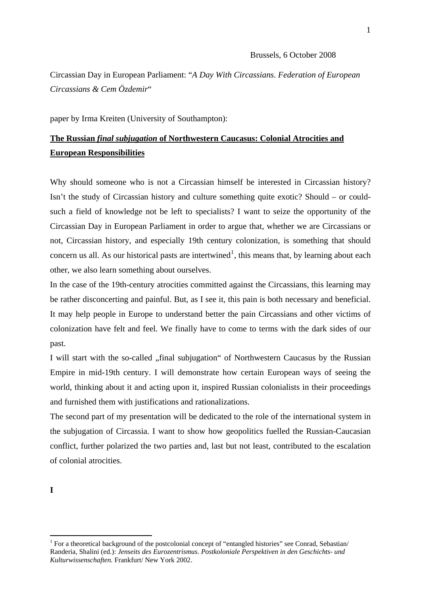## Brussels, 6 October 2008

Circassian Day in European Parliament: "*A Day With Circassians. Federation of European Circassians & Cem Özdemir*"

paper by Irma Kreiten (University of Southampton):

## **The Russian** *final subjugation* **of Northwestern Caucasus: Colonial Atrocities and European Responsibilities**

Why should someone who is not a Circassian himself be interested in Circassian history? Isn't the study of Circassian history and culture something quite exotic? Should – or couldsuch a field of knowledge not be left to specialists? I want to seize the opportunity of the Circassian Day in European Parliament in order to argue that, whether we are Circassians or not, Circassian history, and especially 19th century colonization, is something that should concern us all. As our historical pasts are intertwined<sup>[1](#page-0-0)</sup>, this means that, by learning about each other, we also learn something about ourselves.

In the case of the 19th-century atrocities committed against the Circassians, this learning may be rather disconcerting and painful. But, as I see it, this pain is both necessary and beneficial. It may help people in Europe to understand better the pain Circassians and other victims of colonization have felt and feel. We finally have to come to terms with the dark sides of our past.

I will start with the so-called "final subjugation" of Northwestern Caucasus by the Russian Empire in mid-19th century. I will demonstrate how certain European ways of seeing the world, thinking about it and acting upon it, inspired Russian colonialists in their proceedings and furnished them with justifications and rationalizations.

The second part of my presentation will be dedicated to the role of the international system in the subjugation of Circassia. I want to show how geopolitics fuelled the Russian-Caucasian conflict, further polarized the two parties and, last but not least, contributed to the escalation of colonial atrocities.

**I** 

<span id="page-0-0"></span><sup>&</sup>lt;sup>1</sup> For a theoretical background of the postcolonial concept of "entangled histories" see Conrad, Sebastian/ Randeria, Shalini (ed.): *Jenseits des Eurozentrismus. Postkoloniale Perspektiven in den Geschichts- und Kulturwissenschaften.* Frankfurt/ New York 2002.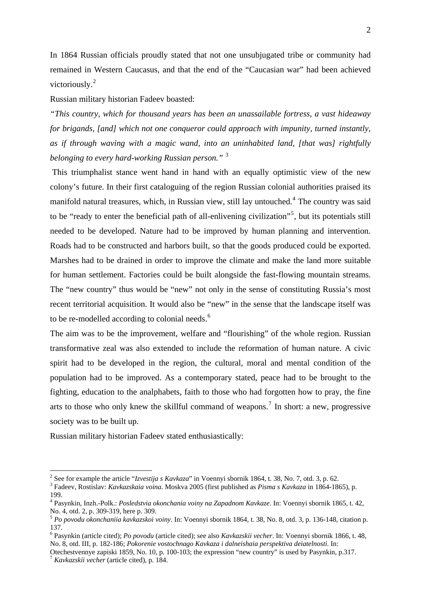In 1864 Russian officials proudly stated that not one unsubjugated tribe or community had remained in Western Caucasus, and that the end of the "Caucasian war" had been achieved victoriously.<sup>[2](#page-1-0)</sup>

Russian military historian Fadeev boasted:

*"This country, which for thousand years has been an unassailable fortress, a vast hideaway for brigands, [and] which not one conqueror could approach with impunity, turned instantly, as if through waving with a magic wand, into an uninhabited land, [that was] rightfully belonging to every hard-working Russian person."* [3](#page-1-1)

 This triumphalist stance went hand in hand with an equally optimistic view of the new colony's future. In their first cataloguing of the region Russian colonial authorities praised its manifold natural treasures, which, in Russian view, still lay untouched.<sup>[4](#page-1-2)</sup> The country was said to be "ready to enter the beneficial path of all-enlivening civilization"<sup>[5](#page-1-3)</sup>, but its potentials still needed to be developed. Nature had to be improved by human planning and intervention. Roads had to be constructed and harbors built, so that the goods produced could be exported. Marshes had to be drained in order to improve the climate and make the land more suitable for human settlement. Factories could be built alongside the fast-flowing mountain streams. The "new country" thus would be "new" not only in the sense of constituting Russia's most recent territorial acquisition. It would also be "new" in the sense that the landscape itself was to be re-modelled according to colonial needs.<sup>[6](#page-1-4)</sup>

The aim was to be the improvement, welfare and "flourishing" of the whole region. Russian transformative zeal was also extended to include the reformation of human nature. A civic spirit had to be developed in the region, the cultural, moral and mental condition of the population had to be improved. As a contemporary stated, peace had to be brought to the fighting, education to the analphabets, faith to those who had forgotten how to pray, the fine arts to those who only knew the skillful command of weapons.<sup>[7](#page-1-5)</sup> In short: a new, progressive society was to be built up.

Russian military historian Fadeev stated enthusiastically:

<sup>&</sup>lt;u>2</u><br><sup>2</sup> See for example the article "*Izvestija s Kavkaza*" in Voennyi sbornik 1864, t. 38, No. 7, otd. 3, p. 62.<br><sup>3</sup> Fedesus Bestielau Kaukazakaja using Meslum 2005 (first published as *Bisma s Kaukaza in* 1864-186

<span id="page-1-1"></span><span id="page-1-0"></span>Fadeev, Rostislav: *Kavkazskaia voina*. Moskva 2005 (first published as *Pisma s Kavkaza* in 1864-1865), p. 199.

<span id="page-1-2"></span><sup>4</sup> Pasynkin, Inzh.-Polk.: *Posledstvia okonchania voiny na Zapadnom Kavkaze*. In: Voennyi sbornik 1865, t. 42, No. 4, otd. 2, p. 309-319, here p. 309.

<span id="page-1-3"></span><sup>5</sup> *Po povodu okonchaniia kavkazskoi voiny*. In: Voennyi sbornik 1864, t. 38, No. 8, otd. 3, p. 136-148, citation p. 137.

<span id="page-1-4"></span><sup>6</sup> Pasynkin (article cited); *Po povodu* (article cited); see also *Kavkazskii vecher*. In: Voennyi sbornik 1866, t. 48, No. 8, otd. III, p. 182-186; *Pokorenie vostochnago Kavkaza i dalneishaia perspektiva deiatelnosti*. In:

<span id="page-1-5"></span>Otechestvennye zapiski 1859, No. 10, p. 100-103; the expression "new country" is used by Pasynkin, p.317. 7 *Kavkazskii vecher* (article cited), p. 184.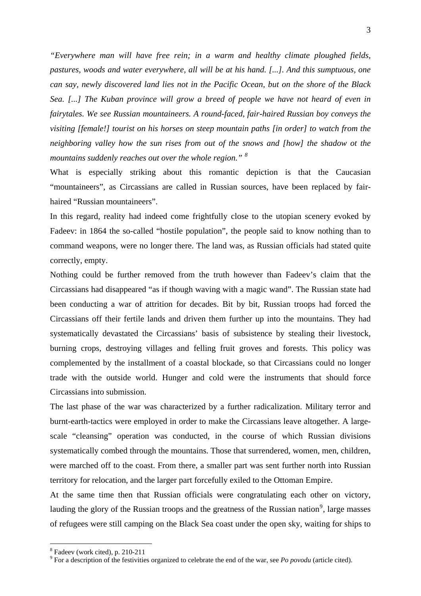*"Everywhere man will have free rein; in a warm and healthy climate ploughed fields, pastures, woods and water everywhere, all will be at his hand. [...]. And this sumptuous, one can say, newly discovered land lies not in the Pacific Ocean, but on the shore of the Black Sea. [...] The Kuban province will grow a breed of people we have not heard of even in fairytales. We see Russian mountaineers. A round-faced, fair-haired Russian boy conveys the visiting [female!] tourist on his horses on steep mountain paths [in order] to watch from the neighboring valley how the sun rises from out of the snows and [how] the shadow ot the mountains suddenly reaches out over the whole region." [8](#page-2-0)*

What is especially striking about this romantic depiction is that the Caucasian "mountaineers", as Circassians are called in Russian sources, have been replaced by fairhaired "Russian mountaineers".

In this regard, reality had indeed come frightfully close to the utopian scenery evoked by Fadeev: in 1864 the so-called "hostile population", the people said to know nothing than to command weapons, were no longer there. The land was, as Russian officials had stated quite correctly, empty.

Nothing could be further removed from the truth however than Fadeev's claim that the Circassians had disappeared "as if though waving with a magic wand". The Russian state had been conducting a war of attrition for decades. Bit by bit, Russian troops had forced the Circassians off their fertile lands and driven them further up into the mountains. They had systematically devastated the Circassians' basis of subsistence by stealing their livestock, burning crops, destroying villages and felling fruit groves and forests. This policy was complemented by the installment of a coastal blockade, so that Circassians could no longer trade with the outside world. Hunger and cold were the instruments that should force Circassians into submission.

The last phase of the war was characterized by a further radicalization. Military terror and burnt-earth-tactics were employed in order to make the Circassians leave altogether. A largescale "cleansing" operation was conducted, in the course of which Russian divisions systematically combed through the mountains. Those that surrendered, women, men, children, were marched off to the coast. From there, a smaller part was sent further north into Russian territory for relocation, and the larger part forcefully exiled to the Ottoman Empire.

At the same time then that Russian officials were congratulating each other on victory, lauding the glory of the Russian troops and the greatness of the Russian nation<sup>[9](#page-2-1)</sup>, large masses of refugees were still camping on the Black Sea coast under the open sky, waiting for ships to

1

<span id="page-2-0"></span><sup>8</sup> Fadeev (work cited), p. 210-211

<span id="page-2-1"></span><sup>9</sup> For a description of the festivities organized to celebrate the end of the war, see *Po povodu* (article cited).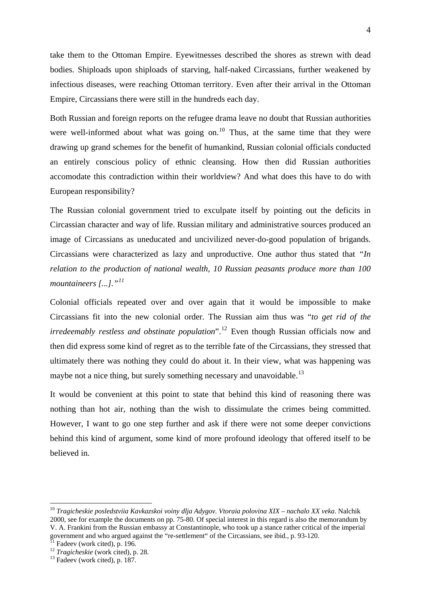take them to the Ottoman Empire. Eyewitnesses described the shores as strewn with dead bodies. Shiploads upon shiploads of starving, half-naked Circassians, further weakened by infectious diseases, were reaching Ottoman territory. Even after their arrival in the Ottoman Empire, Circassians there were still in the hundreds each day.

Both Russian and foreign reports on the refugee drama leave no doubt that Russian authorities were well-informed about what was going on.<sup>[10](#page-3-0)</sup> Thus, at the same time that they were drawing up grand schemes for the benefit of humankind, Russian colonial officials conducted an entirely conscious policy of ethnic cleansing. How then did Russian authorities accomodate this contradiction within their worldview? And what does this have to do with European responsibility?

The Russian colonial government tried to exculpate itself by pointing out the deficits in Circassian character and way of life. Russian military and administrative sources produced an image of Circassians as uneducated and uncivilized never-do-good population of brigands. Circassians were characterized as lazy and unproductive. One author thus stated that *"In relation to the production of national wealth, 10 Russian peasants produce more than 100 mountaineers [...]."[11](#page-3-1)*

Colonial officials repeated over and over again that it would be impossible to make Circassians fit into the new colonial order. The Russian aim thus was "*to get rid of the irredeemably restless and obstinate population*".<sup>[12](#page-3-2)</sup> Even though Russian officials now and then did express some kind of regret as to the terrible fate of the Circassians, they stressed that ultimately there was nothing they could do about it. In their view, what was happening was maybe not a nice thing, but surely something necessary and unavoidable.<sup>[13](#page-3-3)</sup>

It would be convenient at this point to state that behind this kind of reasoning there was nothing than hot air, nothing than the wish to dissimulate the crimes being committed. However, I want to go one step further and ask if there were not some deeper convictions behind this kind of argument, some kind of more profound ideology that offered itself to be believed in.

<span id="page-3-0"></span><sup>10</sup> *Tragicheskie posledstviia Kavkazskoi voiny dlja Adygov. Vtoraia polovina XIX – nachalo XX veka*. Nalchik 2000, see for example the documents on pp. 75-80. Of special interest in this regard is also the memorandum by V. A. Frankini from the Russian embassy at Constantinople, who took up a stance rather critical of the imperial government and who argued against the "re-settlement" of the Circassians, see ibid., p. 93-120.

<span id="page-3-1"></span> $I<sup>1</sup>$  Fadeev (work cited), p. 196.

<span id="page-3-2"></span><sup>&</sup>lt;sup>12</sup> *Tragicheskie* (work cited), p. 28.<br><sup>13</sup> Fadeev (work cited), p. 187.

<span id="page-3-3"></span>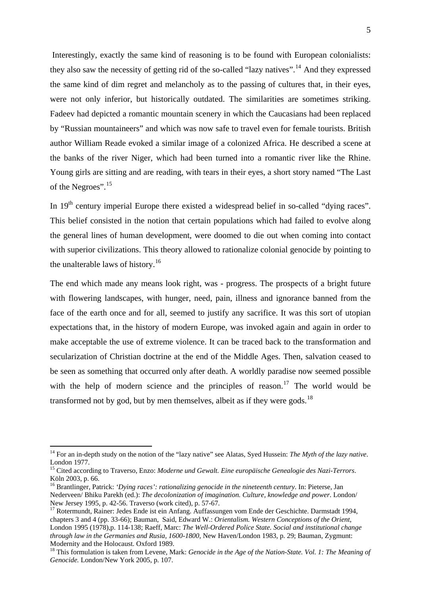Interestingly, exactly the same kind of reasoning is to be found with European colonialists: they also saw the necessity of getting rid of the so-called "lazy natives".<sup>[14](#page-4-0)</sup> And they expressed the same kind of dim regret and melancholy as to the passing of cultures that, in their eyes, were not only inferior, but historically outdated. The similarities are sometimes striking. Fadeev had depicted a romantic mountain scenery in which the Caucasians had been replaced by "Russian mountaineers" and which was now safe to travel even for female tourists. British author William Reade evoked a similar image of a colonized Africa. He described a scene at the banks of the river Niger, which had been turned into a romantic river like the Rhine. Young girls are sitting and are reading, with tears in their eyes, a short story named "The Last of the Negroes".[15](#page-4-1)

In  $19<sup>th</sup>$  century imperial Europe there existed a widespread belief in so-called "dying races". This belief consisted in the notion that certain populations which had failed to evolve along the general lines of human development, were doomed to die out when coming into contact with superior civilizations. This theory allowed to rationalize colonial genocide by pointing to the unalterable laws of history.<sup>[16](#page-4-2)</sup>

The end which made any means look right, was - progress. The prospects of a bright future with flowering landscapes, with hunger, need, pain, illness and ignorance banned from the face of the earth once and for all, seemed to justify any sacrifice. It was this sort of utopian expectations that, in the history of modern Europe, was invoked again and again in order to make acceptable the use of extreme violence. It can be traced back to the transformation and secularization of Christian doctrine at the end of the Middle Ages. Then, salvation ceased to be seen as something that occurred only after death. A worldly paradise now seemed possible with the help of modern science and the principles of reason.<sup>[17](#page-4-3)</sup> The world would be transformed not by god, but by men themselves, albeit as if they were gods.<sup>[18](#page-4-4)</sup>

<span id="page-4-0"></span><sup>&</sup>lt;sup>14</sup> For an in-depth study on the notion of the "lazy native" see Alatas, Syed Hussein: *The Myth of the lazy native*. London 1977.

<span id="page-4-1"></span><sup>15</sup> Cited according to Traverso, Enzo: *Moderne und Gewalt. Eine europäische Genealogie des Nazi-Terrors*. Köln 2003, p. 66.

<span id="page-4-2"></span><sup>16</sup> Brantlinger, Patrick: *'Dying races': rationalizing genocide in the nineteenth century*. In: Pieterse, Jan Nederveen/ Bhiku Parekh (ed.): *The decolonization of imagination. Culture, knowledge and power*. London/ New Jersey 1995, p. 42-56. Traverso (work cited), p. 57-67.

<span id="page-4-3"></span><sup>&</sup>lt;sup>17</sup> Rotermundt, Rainer: Jedes Ende ist ein Anfang. Auffassungen vom Ende der Geschichte. Darmstadt 1994, chapters 3 and 4 (pp. 33-66); Bauman, Said, Edward W.: *Orientalism. Western Conceptions of the Orient*, London 1995 (1978),p. 114-138; Raeff, Marc: *The Well-Ordered Police State. Social and institutional change through law in the Germanies and Rusia, 1600-1800*, New Haven/London 1983, p. 29; Bauman, Zygmunt: Modernity and the Holocaust. Oxford 1989.

<span id="page-4-4"></span><sup>&</sup>lt;sup>18</sup> This formulation is taken from Levene, Mark: *Genocide in the Age of the Nation-State. Vol. 1: The Meaning of Genocide.* London/New York 2005, p. 107.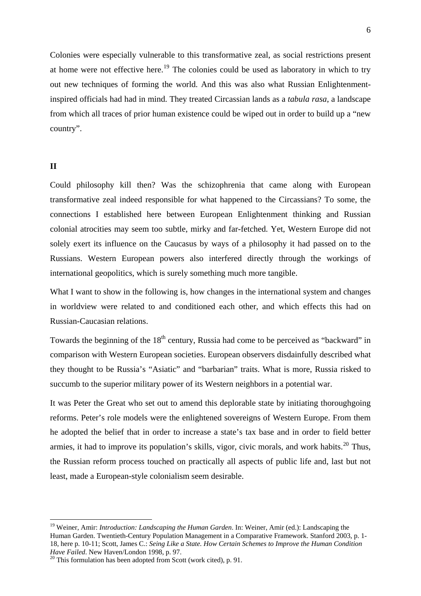Colonies were especially vulnerable to this transformative zeal, as social restrictions present at home were not effective here.<sup>[19](#page-5-0)</sup> The colonies could be used as laboratory in which to try out new techniques of forming the world. And this was also what Russian Enlightenmentinspired officials had had in mind. They treated Circassian lands as a *tabula rasa*, a landscape from which all traces of prior human existence could be wiped out in order to build up a "new country".

## **II**

1

Could philosophy kill then? Was the schizophrenia that came along with European transformative zeal indeed responsible for what happened to the Circassians? To some, the connections I established here between European Enlightenment thinking and Russian colonial atrocities may seem too subtle, mirky and far-fetched. Yet, Western Europe did not solely exert its influence on the Caucasus by ways of a philosophy it had passed on to the Russians. Western European powers also interfered directly through the workings of international geopolitics, which is surely something much more tangible.

What I want to show in the following is, how changes in the international system and changes in worldview were related to and conditioned each other, and which effects this had on Russian-Caucasian relations.

Towards the beginning of the  $18<sup>th</sup>$  century, Russia had come to be perceived as "backward" in comparison with Western European societies. European observers disdainfully described what they thought to be Russia's "Asiatic" and "barbarian" traits. What is more, Russia risked to succumb to the superior military power of its Western neighbors in a potential war.

It was Peter the Great who set out to amend this deplorable state by initiating thoroughgoing reforms. Peter's role models were the enlightened sovereigns of Western Europe. From them he adopted the belief that in order to increase a state's tax base and in order to field better armies, it had to improve its population's skills, vigor, civic morals, and work habits.<sup>[20](#page-5-1)</sup> Thus, the Russian reform process touched on practically all aspects of public life and, last but not least, made a European-style colonialism seem desirable.

<span id="page-5-0"></span><sup>19</sup> Weiner, Amir: *Introduction: Landscaping the Human Garden*. In: Weiner, Amir (ed.): Landscaping the Human Garden. Twentieth-Century Population Management in a Comparative Framework. Stanford 2003, p. 1- 18, here p. 10-11; Scott, James C.: *Seing Like a State. How Certain Schemes to Improve the Human Condition* 

<span id="page-5-1"></span><sup>&</sup>lt;sup>20</sup> This formulation has been adopted from Scott (work cited), p. 91.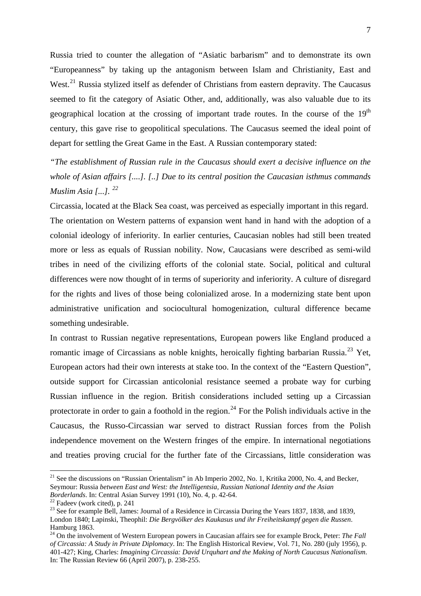Russia tried to counter the allegation of "Asiatic barbarism" and to demonstrate its own "Europeanness" by taking up the antagonism between Islam and Christianity, East and West.<sup>[21](#page-6-0)</sup> Russia stylized itself as defender of Christians from eastern depravity. The Caucasus seemed to fit the category of Asiatic Other, and, additionally, was also valuable due to its geographical location at the crossing of important trade routes. In the course of the 19<sup>th</sup> century, this gave rise to geopolitical speculations. The Caucasus seemed the ideal point of depart for settling the Great Game in the East. A Russian contemporary stated:

*"The establishment of Russian rule in the Caucasus should exert a decisive influence on the whole of Asian affairs [....]. [..] Due to its central position the Caucasian isthmus commands Muslim Asia [...]. [22](#page-6-1)*

Circassia, located at the Black Sea coast, was perceived as especially important in this regard. The orientation on Western patterns of expansion went hand in hand with the adoption of a colonial ideology of inferiority. In earlier centuries, Caucasian nobles had still been treated more or less as equals of Russian nobility. Now, Caucasians were described as semi-wild tribes in need of the civilizing efforts of the colonial state. Social, political and cultural differences were now thought of in terms of superiority and inferiority. A culture of disregard for the rights and lives of those being colonialized arose. In a modernizing state bent upon administrative unification and sociocultural homogenization, cultural difference became something undesirable.

In contrast to Russian negative representations, European powers like England produced a romantic image of Circassians as noble knights, heroically fighting barbarian Russia.<sup>[23](#page-6-2)</sup> Yet, European actors had their own interests at stake too. In the context of the "Eastern Question", outside support for Circassian anticolonial resistance seemed a probate way for curbing Russian influence in the region. British considerations included setting up a Circassian protectorate in order to gain a foothold in the region.<sup>[24](#page-6-3)</sup> For the Polish individuals active in the Caucasus, the Russo-Circassian war served to distract Russian forces from the Polish independence movement on the Western fringes of the empire. In international negotiations and treaties proving crucial for the further fate of the Circassians, little consideration was

<span id="page-6-0"></span><sup>&</sup>lt;sup>21</sup> See the discussions on "Russian Orientalism" in Ab Imperio 2002, No. 1, Kritika 2000, No. 4, and Becker, Seymour: Russia *between East and West: the Intelligentsia, Russian National Identity and the Asian Borderlands*. In: Central Asian Survey 1991 (10), No. 4, p. 42-64.<br><sup>22</sup> Fadeev (work cited), p. 241

<span id="page-6-2"></span><span id="page-6-1"></span><sup>&</sup>lt;sup>23</sup> See for example Bell, James: Journal of a Residence in Circassia During the Years 1837, 1838, and 1839, London 1840; Lapinski, Theophil: *Die Bergvölker des Kaukasus und ihr Freiheitskampf gegen die Russen*. Hamburg 1863.

<span id="page-6-3"></span><sup>&</sup>lt;sup>24</sup> On the involvement of Western European powers in Caucasian affairs see for example Brock, Peter: *The Fall of Circassia: A Study in Private Diplomacy*. In: The English Historical Review, Vol. 71, No. 280 (july 1956), p. 401-427; King, Charles: *Imagining Circassia: David Urquhart and the Making of North Caucasus Nationalism*. In: The Russian Review 66 (April 2007), p. 238-255.